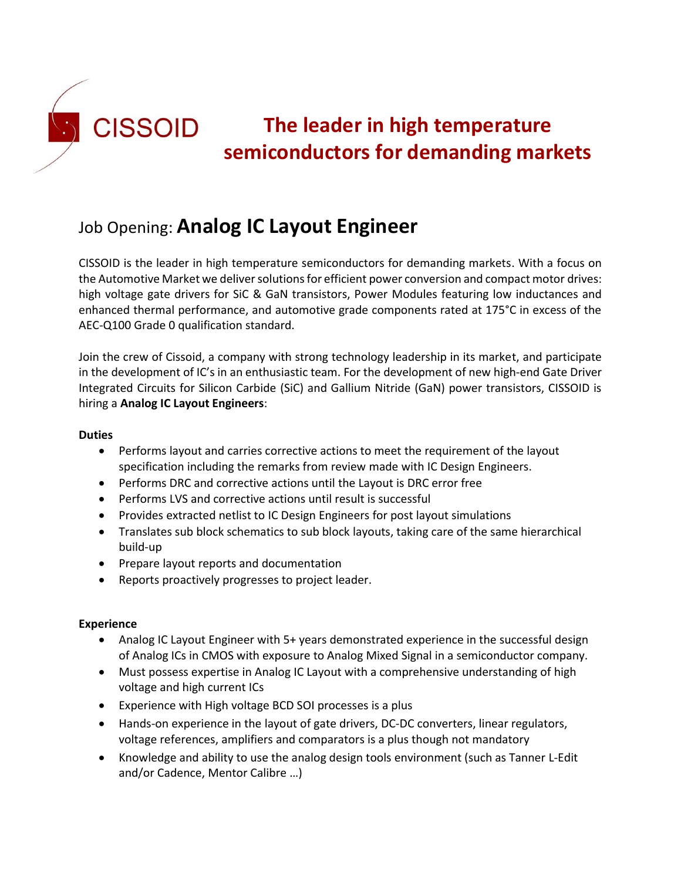

# Job Opening: **Analog IC Layout Engineer**

CISSOID is the leader in high temperature semiconductors for demanding markets. With a focus on the Automotive Market we deliver solutions for efficient power conversion and compact motor drives: high voltage gate drivers for SiC & GaN transistors, Power Modules featuring low inductances and enhanced thermal performance, and automotive grade components rated at 175°C in excess of the AEC-Q100 Grade 0 qualification standard.

Join the crew of Cissoid, a company with strong technology leadership in its market, and participate in the development of IC's in an enthusiastic team. For the development of new high-end Gate Driver Integrated Circuits for Silicon Carbide (SiC) and Gallium Nitride (GaN) power transistors, CISSOID is hiring a **Analog IC Layout Engineers**:

#### **Duties**

- Performs layout and carries corrective actions to meet the requirement of the layout specification including the remarks from review made with IC Design Engineers.
- Performs DRC and corrective actions until the Layout is DRC error free
- Performs LVS and corrective actions until result is successful
- Provides extracted netlist to IC Design Engineers for post layout simulations
- Translates sub block schematics to sub block layouts, taking care of the same hierarchical build-up
- Prepare layout reports and documentation
- Reports proactively progresses to project leader.

### **Experience**

- Analog IC Layout Engineer with 5+ years demonstrated experience in the successful design of Analog ICs in CMOS with exposure to Analog Mixed Signal in a semiconductor company.
- Must possess expertise in Analog IC Layout with a comprehensive understanding of high voltage and high current ICs
- Experience with High voltage BCD SOI processes is a plus
- Hands-on experience in the layout of gate drivers, DC-DC converters, linear regulators, voltage references, amplifiers and comparators is a plus though not mandatory
- Knowledge and ability to use the analog design tools environment (such as Tanner L-Edit and/or Cadence, Mentor Calibre …)